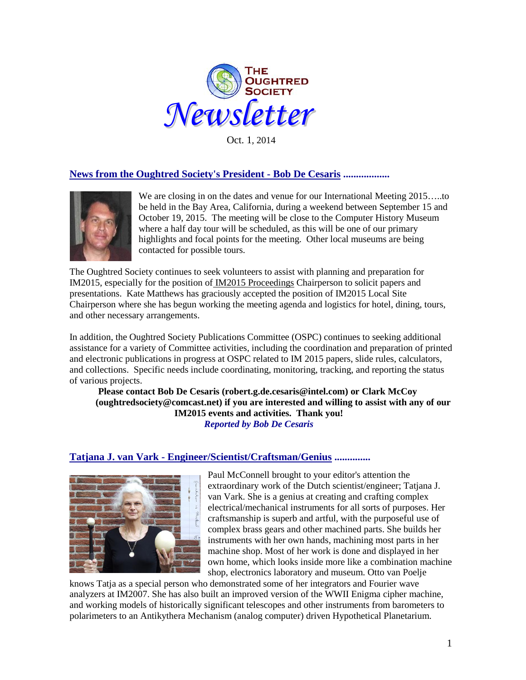

Oct. 1, 2014

# **News from the Oughtred Society's President - Bob De Cesaris ..................**



We are closing in on the dates and venue for our International Meeting 2015…..to be held in the Bay Area, California, during a weekend between September 15 and October 19, 2015. The meeting will be close to the Computer History Museum where a half day tour will be scheduled, as this will be one of our primary highlights and focal points for the meeting. Other local museums are being contacted for possible tours.

The Oughtred Society continues to seek volunteers to assist with planning and preparation for IM2015, especially for the position of IM2015 Proceedings Chairperson to solicit papers and presentations. Kate Matthews has graciously accepted the position of IM2015 Local Site Chairperson where she has begun working the meeting agenda and logistics for hotel, dining, tours, and other necessary arrangements.

In addition, the Oughtred Society Publications Committee (OSPC) continues to seeking additional assistance for a variety of Committee activities, including the coordination and preparation of printed and electronic publications in progress at OSPC related to IM 2015 papers, slide rules, calculators, and collections. Specific needs include coordinating, monitoring, tracking, and reporting the status of various projects.

**Please contact Bob De Cesaris (robert.g.de.cesaris@intel.com) or Clark McCoy (oughtredsociety@comcast.net) if you are interested and willing to assist with any of our IM2015 events and activities. Thank you!** *Reported by Bob De Cesaris*

#### **Tatjana J. van Vark - Engineer/Scientist/Craftsman/Genius ..............**



Paul McConnell brought to your editor's attention the extraordinary work of the Dutch scientist/engineer; Tatjana J. van Vark. She is a genius at creating and crafting complex electrical/mechanical instruments for all sorts of purposes. Her craftsmanship is superb and artful, with the purposeful use of complex brass gears and other machined parts. She builds her instruments with her own hands, machining most parts in her machine shop. Most of her work is done and displayed in her own home, which looks inside more like a combination machine shop, electronics laboratory and museum. Otto van Poelje

knows Tatja as a special person who demonstrated some of her integrators and Fourier wave analyzers at IM2007. She has also built an improved version of the WWII Enigma cipher machine, and working models of historically significant telescopes and other instruments from barometers to polarimeters to an Antikythera Mechanism (analog computer) driven Hypothetical Planetarium.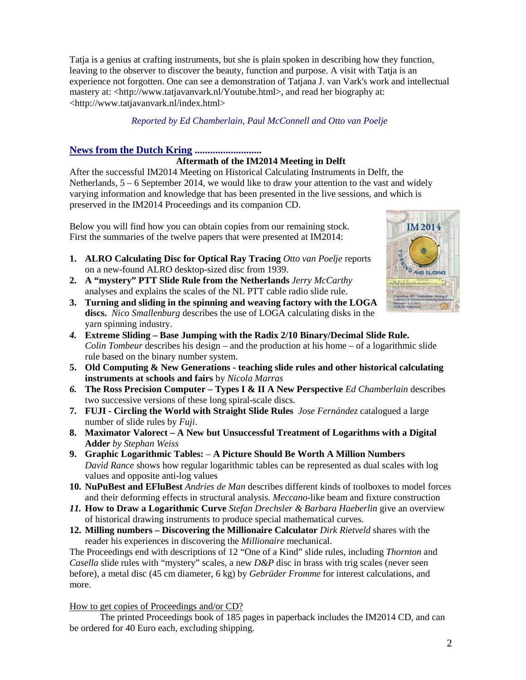Tatja is a genius at crafting instruments, but she is plain spoken in describing how they function, leaving to the observer to discover the beauty, function and purpose. A visit with Tatja is an experience not forgotten. One can see a demonstration of Tatjana J. van Vark's work and intellectual mastery at: <http://www.tatjavanvark.nl/Youtube.html>, and read her biography at: <http://www.tatjavanvark.nl/index.html>

# *Reported by Ed Chamberlain, Paul McConnell and Otto van Poelje*

# **News from the Dutch Kring ..........................**

# **Aftermath of the IM2014 Meeting in Delft**

After the successful IM2014 Meeting on Historical Calculating Instruments in Delft, the Netherlands,  $5 - 6$  September 2014, we would like to draw your attention to the vast and widely varying information and knowledge that has been presented in the live sessions, and which is preserved in the IM2014 Proceedings and its companion CD.

Below you will find how you can obtain copies from our remaining stock. First the summaries of the twelve papers that were presented at IM2014:

- **1. ALRO Calculating Disc for Optical Ray Tracing** *Otto van Poelje* reports on a new-found ALRO desktop-sized disc from 1939.
- **2. A "mystery" PTT Slide Rule from the Netherlands** *Jerry McCarthy* analyses and explains the scales of the NL PTT cable radio slide rule.
- **3. Turning and sliding in the spinning and weaving factory with the LOGA discs.** *Nico Smallenburg* describes the use of LOGA calculating disks in the yarn spinning industry.
- *4.* **Extreme Sliding – Base Jumping with the Radix 2/10 Binary/Decimal Slide Rule.** *Colin Tombeur* describes his design – and the production at his home – of a logarithmic slide rule based on the binary number system.
- **5. Old Computing & New Generations - teaching slide rules and other historical calculating instruments at schools and fairs** by *Nicola Marras*
- *6.* **The Ross Precision Computer – Types I & II A New Perspective** *Ed Chamberlain* describes two successive versions of these long spiral-scale discs.
- **7. FUJI - Circling the World with Straight Slide Rules** *Jose Fernández* catalogued a large number of slide rules by *Fuji*.
- **8. Maximator Valorect – A New but Unsuccessful Treatment of Logarithms with a Digital Adde***r by Stephan Weiss*
- **9. Graphic Logarithmic Tables: A Picture Should Be Worth A Million Numbers**  *David Rance* shows how regular logarithmic tables can be represented as dual scales with log values and opposite anti-log values
- **10. NuPuBest and EFluBest** *Andries de Man* describes different kinds of toolboxes to model forces and their deforming effects in structural analysis*. Meccano*-like beam and fixture construction
- *11.* **How to Draw a Logarithmic Curve** *Stefan Drechsler & Barbara Haeberlin* give an overview of historical drawing instruments to produce special mathematical curves.
- **12. Milling numbers – Discovering the Millionaire Calculator** *Dirk Rietveld* shares with the reader his experiences in discovering the *Millionaire* mechanical.

The Proceedings end with descriptions of 12 "One of a Kind" slide rules, including *Thornton* and *Casella* slide rules with "mystery" scales, a new *D&P* disc in brass with trig scales (never seen before), a metal disc (45 cm diameter, 6 kg) by *Gebrüder Fromme* for interest calculations, and more.

How to get copies of Proceedings and/or CD?

The printed Proceedings book of 185 pages in paperback includes the IM2014 CD, and can be ordered for 40 Euro each, excluding shipping.

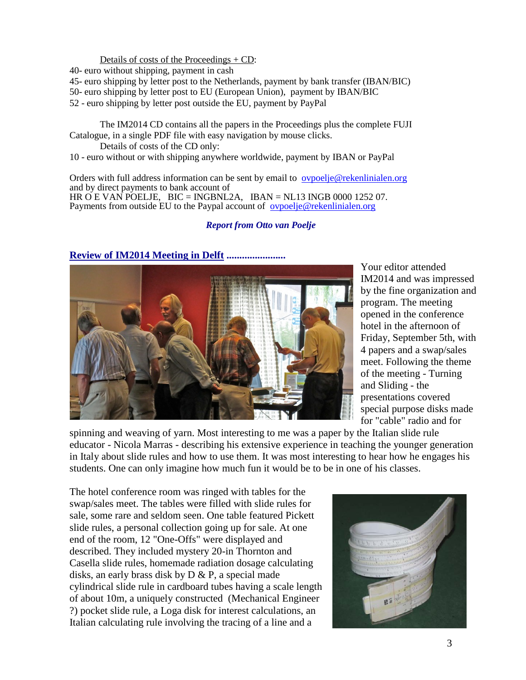Details of costs of the Proceedings + CD:

40- euro without shipping, payment in cash

- 45- euro shipping by letter post to the Netherlands, payment by bank transfer (IBAN/BIC)
- 50- euro shipping by letter post to EU (European Union), payment by IBAN/BIC
- 52 euro shipping by letter post outside the EU, payment by PayPal

The IM2014 CD contains all the papers in the Proceedings plus the complete FUJI Catalogue, in a single PDF file with easy navigation by mouse clicks.

Details of costs of the CD only:

10 - euro without or with shipping anywhere worldwide, payment by IBAN or PayPal

Orders with full address information can be sent by email to [ovpoelje@rekenlinialen.org](mailto:ovpoelje@rekenlinialen.org) and by direct payments to bank account of HR O E VAN POELJE, BIC = INGBNL2A, IBAN = NL13 INGB 0000 1252 07. Payments from outside EU to the Paypal account of <u>[ovpoelje@rekenlinialen.org](mailto:ovpoelje@rekenlinialen.org)</u>

#### *Report from Otto van Poelje*



Your editor attended IM2014 and was impressed by the fine organization and program. The meeting opened in the conference hotel in the afternoon of Friday, September 5th, with 4 papers and a swap/sales meet. Following the theme of the meeting - Turning and Sliding - the presentations covered special purpose disks made for "cable" radio and for

spinning and weaving of yarn. Most interesting to me was a paper by the Italian slide rule educator - Nicola Marras - describing his extensive experience in teaching the younger generation in Italy about slide rules and how to use them. It was most interesting to hear how he engages his students. One can only imagine how much fun it would be to be in one of his classes.

The hotel conference room was ringed with tables for the swap/sales meet. The tables were filled with slide rules for sale, some rare and seldom seen. One table featured Pickett slide rules, a personal collection going up for sale. At one end of the room, 12 "One-Offs" were displayed and described. They included mystery 20-in Thornton and Casella slide rules, homemade radiation dosage calculating disks, an early brass disk by D & P, a special made cylindrical slide rule in cardboard tubes having a scale length of about 10m, a uniquely constructed (Mechanical Engineer ?) pocket slide rule, a Loga disk for interest calculations, an Italian calculating rule involving the tracing of a line and a



### **Review of IM2014 Meeting in Delft .......................**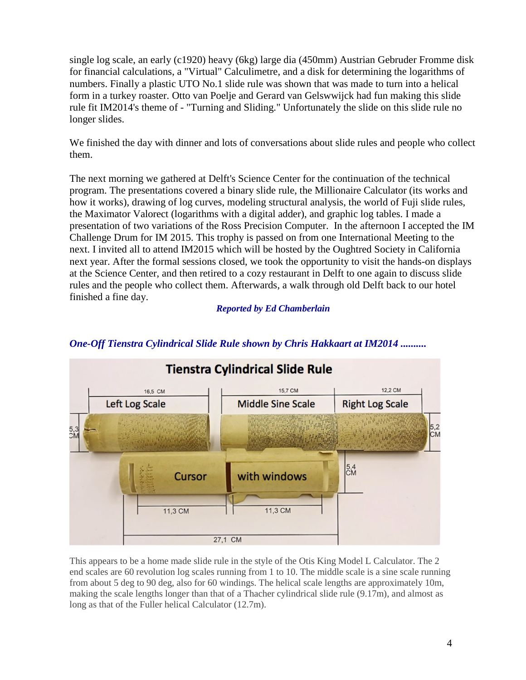single log scale, an early (c1920) heavy (6kg) large dia (450mm) Austrian Gebruder Fromme disk for financial calculations, a "Virtual" Calculimetre, and a disk for determining the logarithms of numbers. Finally a plastic UTO No.1 slide rule was shown that was made to turn into a helical form in a turkey roaster. Otto van Poelje and Gerard van Gelswwijck had fun making this slide rule fit IM2014's theme of - "Turning and Sliding." Unfortunately the slide on this slide rule no longer slides.

We finished the day with dinner and lots of conversations about slide rules and people who collect them.

The next morning we gathered at Delft's Science Center for the continuation of the technical program. The presentations covered a binary slide rule, the Millionaire Calculator (its works and how it works), drawing of log curves, modeling structural analysis, the world of Fuji slide rules, the Maximator Valorect (logarithms with a digital adder), and graphic log tables. I made a presentation of two variations of the Ross Precision Computer. In the afternoon I accepted the IM Challenge Drum for IM 2015. This trophy is passed on from one International Meeting to the next. I invited all to attend IM2015 which will be hosted by the Oughtred Society in California next year. After the formal sessions closed, we took the opportunity to visit the hands-on displays at the Science Center, and then retired to a cozy restaurant in Delft to one again to discuss slide rules and the people who collect them. Afterwards, a walk through old Delft back to our hotel finished a fine day.

*Reported by Ed Chamberlain*



# *One-Off Tienstra Cylindrical Slide Rule shown by Chris Hakkaart at IM2014 ..........*

This appears to be a home made slide rule in the style of the Otis King Model L Calculator. The 2 end scales are 60 revolution log scales running from 1 to 10. The middle scale is a sine scale running from about 5 deg to 90 deg, also for 60 windings. The helical scale lengths are approximately 10m, making the scale lengths longer than that of a Thacher cylindrical slide rule (9.17m), and almost as long as that of the Fuller helical Calculator (12.7m).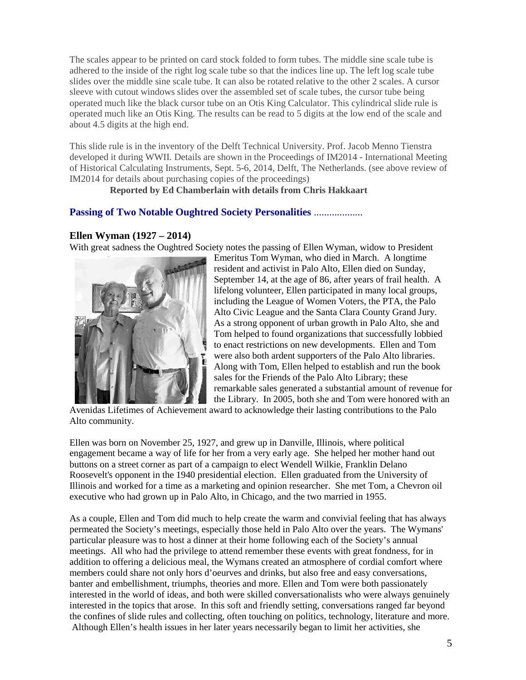The scales appear to be printed on card stock folded to form tubes. The middle sine scale tube is adhered to the inside of the right log scale tube so that the indices line up. The left log scale tube slides over the middle sine scale tube. It can also be rotated relative to the other 2 scales. A cursor sleeve with cutout windows slides over the assembled set of scale tubes, the cursor tube being operated much like the black cursor tube on an Otis King Calculator. This cylindrical slide rule is operated much like an Otis King. The results can be read to 5 digits at the low end of the scale and about 4.5 digits at the high end.

This slide rule is in the inventory of the Delft Technical University. Prof. Jacob Menno Tienstra developed it during WWII. Details are shown in the Proceedings of IM2014 - International Meeting of Historical Calculating Instruments, Sept. 5-6, 2014, Delft, The Netherlands. (see above review of IM2014 for details about purchasing copies of the proceedings)

 **Reported by Ed Chamberlain with details from Chris Hakkaart**

## **Passing of Two Notable Oughtred Society Personalities** ...................

### **Ellen Wyman (1927 – 2014)**

With great sadness the Oughtred Society notes the passing of Ellen Wyman, widow to President



Emeritus Tom Wyman, who died in March. A longtime resident and activist in Palo Alto, Ellen died on Sunday, September 14, at the age of 86, after years of frail health. A lifelong volunteer, Ellen participated in many local groups, including the League of Women Voters, the PTA, the Palo Alto Civic League and the Santa Clara County Grand Jury. As a strong opponent of urban growth in Palo Alto, she and Tom helped to found organizations that successfully lobbied to enact restrictions on new developments. Ellen and Tom were also both ardent supporters of the Palo Alto libraries. Along with Tom, Ellen helped to establish and run the book sales for the Friends of the Palo Alto Library; these remarkable sales generated a substantial amount of revenue for the Library. In 2005, both she and Tom were honored with an

Avenidas Lifetimes of Achievement award to acknowledge their lasting contributions to the Palo Alto community.

Ellen was born on November 25, 1927, and grew up in Danville, Illinois, where political engagement became a way of life for her from a very early age. She helped her mother hand out buttons on a street corner as part of a campaign to elect Wendell Wilkie, Franklin Delano Roosevelt's opponent in the 1940 presidential election. Ellen graduated from the University of Illinois and worked for a time as a marketing and opinion researcher. She met Tom, a Chevron oil executive who had grown up in Palo Alto, in Chicago, and the two married in 1955.

As a couple, Ellen and Tom did much to help create the warm and convivial feeling that has always permeated the Society's meetings, especially those held in Palo Alto over the years. The Wymans' particular pleasure was to host a dinner at their home following each of the Society's annual meetings. All who had the privilege to attend remember these events with great fondness, for in addition to offering a delicious meal, the Wymans created an atmosphere of cordial comfort where members could share not only hors d'oeurves and drinks, but also free and easy conversations, banter and embellishment, triumphs, theories and more. Ellen and Tom were both passionately interested in the world of ideas, and both were skilled conversationalists who were always genuinely interested in the topics that arose. In this soft and friendly setting, conversations ranged far beyond the confines of slide rules and collecting, often touching on politics, technology, literature and more. Although Ellen's health issues in her later years necessarily began to limit her activities, she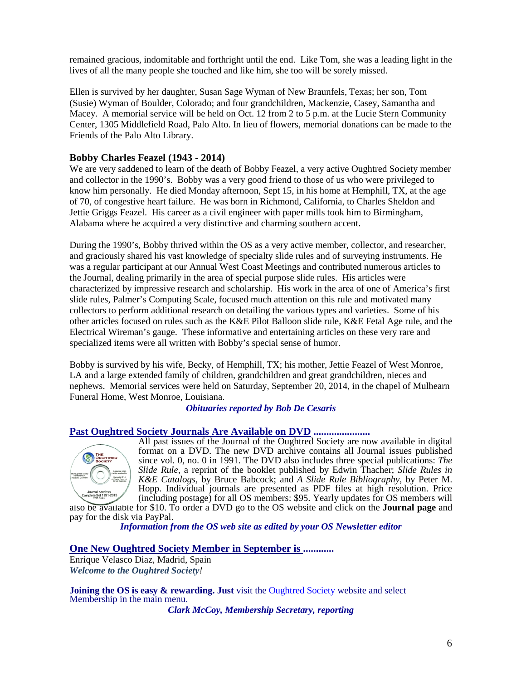remained gracious, indomitable and forthright until the end. Like Tom, she was a leading light in the lives of all the many people she touched and like him, she too will be sorely missed.

Ellen is survived by her daughter, Susan Sage Wyman of New Braunfels, Texas; her son, Tom (Susie) Wyman of Boulder, Colorado; and four grandchildren, Mackenzie, Casey, Samantha and Macey. A memorial service will be held on Oct. 12 from 2 to 5 p.m. at the Lucie Stern Community Center, 1305 Middlefield Road, Palo Alto. In lieu of flowers, memorial donations can be made to the Friends of the Palo Alto Library.

### **Bobby Charles Feazel (1943 - 2014)**

We are very saddened to learn of the death of Bobby Feazel, a very active Oughtred Society member and collector in the 1990's. Bobby was a very good friend to those of us who were privileged to know him personally. He died Monday afternoon, Sept 15, in his home at Hemphill, TX, at the age of 70, of congestive heart failure. He was born in Richmond, California, to Charles Sheldon and Jettie Griggs Feazel. His career as a civil engineer with paper mills took him to Birmingham, Alabama where he acquired a very distinctive and charming southern accent.

During the 1990's, Bobby thrived within the OS as a very active member, collector, and researcher, and graciously shared his vast knowledge of specialty slide rules and of surveying instruments. He was a regular participant at our Annual West Coast Meetings and contributed numerous articles to the Journal, dealing primarily in the area of special purpose slide rules. His articles were characterized by impressive research and scholarship. His work in the area of one of America's first slide rules, Palmer's Computing Scale, focused much attention on this rule and motivated many collectors to perform additional research on detailing the various types and varieties. Some of his other articles focused on rules such as the K&E Pilot Balloon slide rule, K&E Fetal Age rule, and the Electrical Wireman's gauge. These informative and entertaining articles on these very rare and specialized items were all written with Bobby's special sense of humor.

Bobby is survived by his wife, Becky, of Hemphill, TX; his mother, Jettie Feazel of West Monroe, LA and a large extended family of children, grandchildren and great grandchildren, nieces and nephews. Memorial services were held on Saturday, September 20, 2014, in the chapel of Mulhearn Funeral Home, West Monroe, Louisiana.

#### *Obituaries reported by Bob De Cesaris*

#### **Past Oughtred Society Journals Are Available on DVD ......................**



All past issues of the Journal of the Oughtred Society are now available in digital format on a DVD. The new DVD archive contains all Journal issues published since vol. 0, no. 0 in 1991. The DVD also includes three special publications: *The Slide Rule,* a reprint of the booklet published by Edwin Thacher; *Slide Rules in K&E Catalogs,* by Bruce Babcock; and *A Slide Rule Bibliography*, by Peter M. Hopp. Individual journals are presented as PDF files at high resolution. Price (including postage) for all OS members: \$95. Yearly updates for OS members will

also be available for \$10. To order a DVD go to the OS website and click on the **[Journal page](http://www.oughtred.org/journal.shtml%23dvd)** and pay for the disk via PayPal.

*Information from the OS web site as edited by your OS Newsletter editor*

#### **One New Oughtred Society Member in September is ............**

Enrique Velasco Diaz, Madrid, Spain *Welcome to the Oughtred Society!* 

**Joining the OS is easy & rewarding. Just** visit the **Oughtred Society** website and select Membership in the main menu.

*Clark McCoy, Membership Secretary, reporting*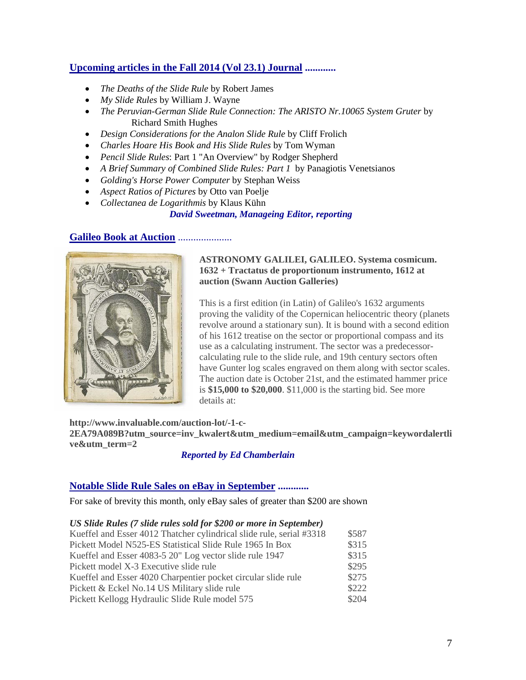# **Upcoming articles in the Fall 2014 (Vol 23.1) Journal ............**

- *The Deaths of the Slide Rule* by Robert James
- *My Slide Rules* by William J. Wayne
- *The Peruvian-German Slide Rule Connection: The ARISTO Nr.10065 System Gruter* by Richard Smith Hughes
- *Design Considerations for the Analon Slide Rule* by Cliff Frolich
- *Charles Hoare His Book and His Slide Rules* by Tom Wyman
- *Pencil Slide Rules*: Part 1 "An Overview" by Rodger Shepherd
- *A Brief Summary of Combined Slide Rules: Part 1* by Panagiotis Venetsianos
- *Golding's Horse Power Computer* by Stephan Weiss
- *Aspect Ratios of Pictures* by Otto van Poelje
- *Collectanea de Logarithmis* by Klaus Kühn

#### *David Sweetman, Manageing Editor, reporting*

#### **Galileo Book at Auction** .....................



#### **ASTRONOMY GALILEI, GALILEO. Systema cosmicum. 1632 + Tractatus de proportionum instrumento, 1612 at auction (Swann Auction Galleries)**

This is a first edition (in Latin) of Galileo's 1632 arguments proving the validity of the Copernican heliocentric theory (planets revolve around a stationary sun). It is bound with a second edition of his 1612 treatise on the sector or proportional compass and its use as a calculating instrument. The sector was a predecessorcalculating rule to the slide rule, and 19th century sectors often have Gunter log scales engraved on them along with sector scales. The auction date is October 21st, and the estimated hammer price is **\$15,000 to \$20,000**. \$11,000 is the starting bid. See more details at:

**http://www.invaluable.com/auction-lot/-1-c-2EA79A089B?utm\_source=inv\_kwalert&utm\_medium=email&utm\_campaign=keywordalertli ve&utm\_term=2**

### *Reported by Ed Chamberlain*

### **Notable Slide Rule Sales on eBay in September ............**

For sake of brevity this month, only eBay sales of greater than \$200 are shown

#### *US Slide Rules (7 slide rules sold for \$200 or more in September)*

| Kueffel and Esser 4012 Thatcher cylindrical slide rule, serial #3318 | \$587 |
|----------------------------------------------------------------------|-------|
| Pickett Model N525-ES Statistical Slide Rule 1965 In Box             | \$315 |
| Kueffel and Esser 4083-5 20" Log vector slide rule 1947              | \$315 |
| Pickett model X-3 Executive slide rule                               | \$295 |
| Kueffel and Esser 4020 Charpentier pocket circular slide rule        | \$275 |
| Pickett & Eckel No.14 US Military slide rule                         | \$222 |
| Pickett Kellogg Hydraulic Slide Rule model 575                       | \$204 |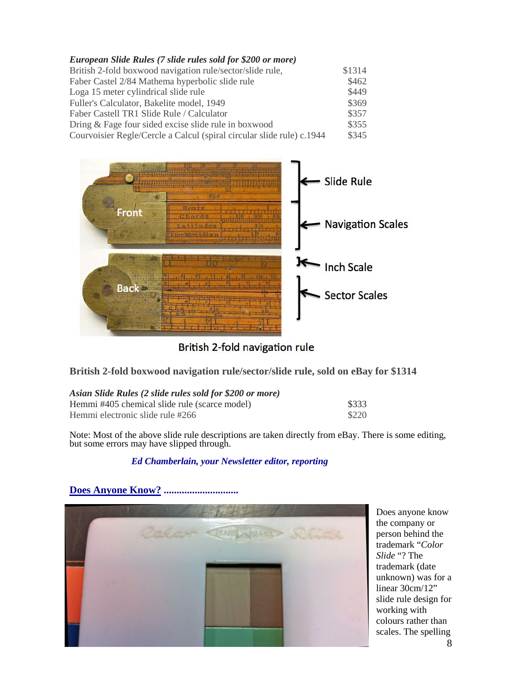| European Slide Rules (7 slide rules sold for \$200 or more)           |        |
|-----------------------------------------------------------------------|--------|
| British 2-fold boxwood navigation rule/sector/slide rule,             | \$1314 |
| Faber Castel 2/84 Mathema hyperbolic slide rule                       | \$462  |
| Loga 15 meter cylindrical slide rule                                  | \$449  |
| Fuller's Calculator, Bakelite model, 1949                             | \$369  |
| Faber Castell TR1 Slide Rule / Calculator                             | \$357  |
| Dring & Fage four sided excise slide rule in boxwood                  | \$355  |
| Courvoisier Regle/Cercle a Calcul (spiral circular slide rule) c.1944 | \$345  |



British 2-fold navigation rule

**British 2-fold boxwood navigation rule/sector/slide rule, sold on eBay for \$1314**

| Asian Slide Rules (2 slide rules sold for \$200 or more) |       |
|----------------------------------------------------------|-------|
| Hemmi #405 chemical slide rule (scarce model)            | \$333 |

| Hemmi electronic slide rule #266 |  | \$220 |
|----------------------------------|--|-------|
|                                  |  |       |

Note: Most of the above slide rule descriptions are taken directly from eBay. There is some editing, but some errors may have slipped through.

# *Ed Chamberlain, your Newsletter editor, reporting*



Does anyone know the company or person behind the trademark "*Color Slide* "? The trademark (date unknown) was for a linear 30cm/12" slide rule design for working with colours rather than scales. The spelling

**Does Anyone Know?** .